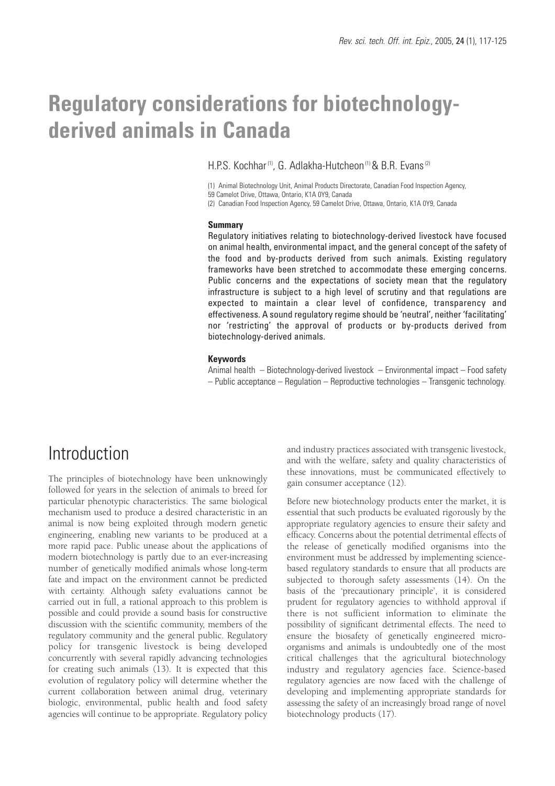# **Regulatory considerations for biotechnologyderived animals in Canada**

H.P.S. Kochhar<sup>(1)</sup>, G. Adlakha-Hutcheon<sup>(1)</sup> & B.R. Evans<sup>(2)</sup>

(1) Animal Biotechnology Unit, Animal Products Directorate, Canadian Food Inspection Agency, 59 Camelot Drive, Ottawa, Ontario, K1A 0Y9, Canada

(2) Canadian Food Inspection Agency, 59 Camelot Drive, Ottawa, Ontario, K1A 0Y9, Canada

#### **Summary**

Regulatory initiatives relating to biotechnology-derived livestock have focused on animal health, environmental impact, and the general concept of the safety of the food and by-products derived from such animals. Existing regulatory frameworks have been stretched to accommodate these emerging concerns. Public concerns and the expectations of society mean that the regulatory infrastructure is subject to a high level of scrutiny and that regulations are expected to maintain a clear level of confidence, transparency and effectiveness. A sound regulatory regime should be 'neutral', neither 'facilitating' nor 'restricting' the approval of products or by-products derived from biotechnology-derived animals.

#### **Keywords**

Animal health – Biotechnology-derived livestock – Environmental impact – Food safety – Public acceptance – Regulation – Reproductive technologies – Transgenic technology.

# **Introduction**

The principles of biotechnology have been unknowingly followed for years in the selection of animals to breed for particular phenotypic characteristics. The same biological mechanism used to produce a desired characteristic in an animal is now being exploited through modern genetic engineering, enabling new variants to be produced at a more rapid pace. Public unease about the applications of modern biotechnology is partly due to an ever-increasing number of genetically modified animals whose long-term fate and impact on the environment cannot be predicted with certainty. Although safety evaluations cannot be carried out in full, a rational approach to this problem is possible and could provide a sound basis for constructive discussion with the scientific community, members of the regulatory community and the general public. Regulatory policy for transgenic livestock is being developed concurrently with several rapidly advancing technologies for creating such animals (13). It is expected that this evolution of regulatory policy will determine whether the current collaboration between animal drug, veterinary biologic, environmental, public health and food safety agencies will continue to be appropriate. Regulatory policy

and industry practices associated with transgenic livestock, and with the welfare, safety and quality characteristics of these innovations, must be communicated effectively to gain consumer acceptance (12).

Before new biotechnology products enter the market, it is essential that such products be evaluated rigorously by the appropriate regulatory agencies to ensure their safety and efficacy. Concerns about the potential detrimental effects of the release of genetically modified organisms into the environment must be addressed by implementing sciencebased regulatory standards to ensure that all products are subjected to thorough safety assessments (14). On the basis of the 'precautionary principle', it is considered prudent for regulatory agencies to withhold approval if there is not sufficient information to eliminate the possibility of significant detrimental effects. The need to ensure the biosafety of genetically engineered microorganisms and animals is undoubtedly one of the most critical challenges that the agricultural biotechnology industry and regulatory agencies face. Science-based regulatory agencies are now faced with the challenge of developing and implementing appropriate standards for assessing the safety of an increasingly broad range of novel biotechnology products (17).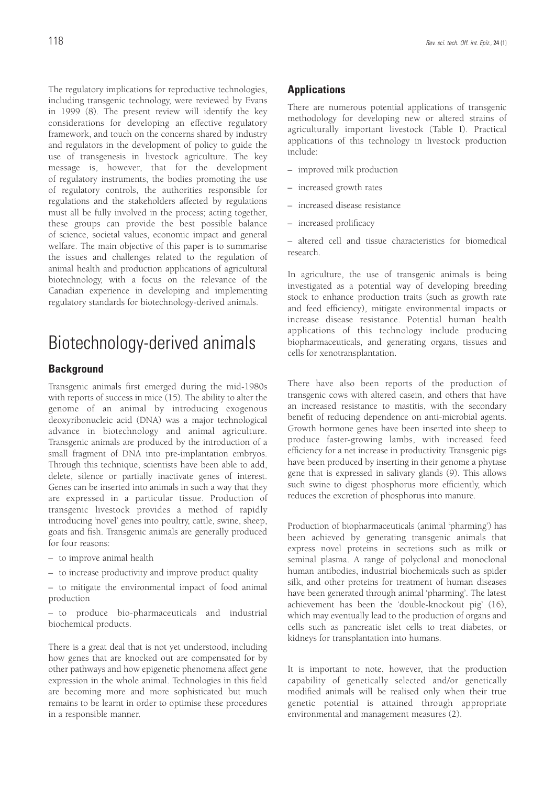The regulatory implications for reproductive technologies, including transgenic technology, were reviewed by Evans in 1999 (8). The present review will identify the key considerations for developing an effective regulatory framework, and touch on the concerns shared by industry and regulators in the development of policy to guide the use of transgenesis in livestock agriculture. The key message is, however, that for the development of regulatory instruments, the bodies promoting the use of regulatory controls, the authorities responsible for regulations and the stakeholders affected by regulations must all be fully involved in the process; acting together, these groups can provide the best possible balance of science, societal values, economic impact and general welfare. The main objective of this paper is to summarise the issues and challenges related to the regulation of animal health and production applications of agricultural biotechnology, with a focus on the relevance of the Canadian experience in developing and implementing regulatory standards for biotechnology-derived animals.

# Biotechnology-derived animals

# **Background**

Transgenic animals first emerged during the mid-1980s with reports of success in mice (15). The ability to alter the genome of an animal by introducing exogenous deoxyribonucleic acid (DNA) was a major technological advance in biotechnology and animal agriculture. Transgenic animals are produced by the introduction of a small fragment of DNA into pre-implantation embryos. Through this technique, scientists have been able to add, delete, silence or partially inactivate genes of interest. Genes can be inserted into animals in such a way that they are expressed in a particular tissue. Production of transgenic livestock provides a method of rapidly introducing 'novel' genes into poultry, cattle, swine, sheep, goats and fish. Transgenic animals are generally produced for four reasons:

- to improve animal health
- to increase productivity and improve product quality

– to mitigate the environmental impact of food animal production

– to produce bio-pharmaceuticals and industrial biochemical products.

There is a great deal that is not yet understood, including how genes that are knocked out are compensated for by other pathways and how epigenetic phenomena affect gene expression in the whole animal. Technologies in this field are becoming more and more sophisticated but much remains to be learnt in order to optimise these procedures in a responsible manner.

### **Applications**

There are numerous potential applications of transgenic methodology for developing new or altered strains of agriculturally important livestock (Table I). Practical applications of this technology in livestock production include:

- improved milk production
- increased growth rates
- increased disease resistance
- increased prolificacy

– altered cell and tissue characteristics for biomedical research.

In agriculture, the use of transgenic animals is being investigated as a potential way of developing breeding stock to enhance production traits (such as growth rate and feed efficiency), mitigate environmental impacts or increase disease resistance. Potential human health applications of this technology include producing biopharmaceuticals, and generating organs, tissues and cells for xenotransplantation.

There have also been reports of the production of transgenic cows with altered casein, and others that have an increased resistance to mastitis, with the secondary benefit of reducing dependence on anti-microbial agents. Growth hormone genes have been inserted into sheep to produce faster-growing lambs, with increased feed efficiency for a net increase in productivity. Transgenic pigs have been produced by inserting in their genome a phytase gene that is expressed in salivary glands (9). This allows such swine to digest phosphorus more efficiently, which reduces the excretion of phosphorus into manure.

Production of biopharmaceuticals (animal 'pharming') has been achieved by generating transgenic animals that express novel proteins in secretions such as milk or seminal plasma. A range of polyclonal and monoclonal human antibodies, industrial biochemicals such as spider silk, and other proteins for treatment of human diseases have been generated through animal 'pharming'. The latest achievement has been the 'double-knockout pig' (16), which may eventually lead to the production of organs and cells such as pancreatic islet cells to treat diabetes, or kidneys for transplantation into humans.

It is important to note, however, that the production capability of genetically selected and/or genetically modified animals will be realised only when their true genetic potential is attained through appropriate environmental and management measures (2).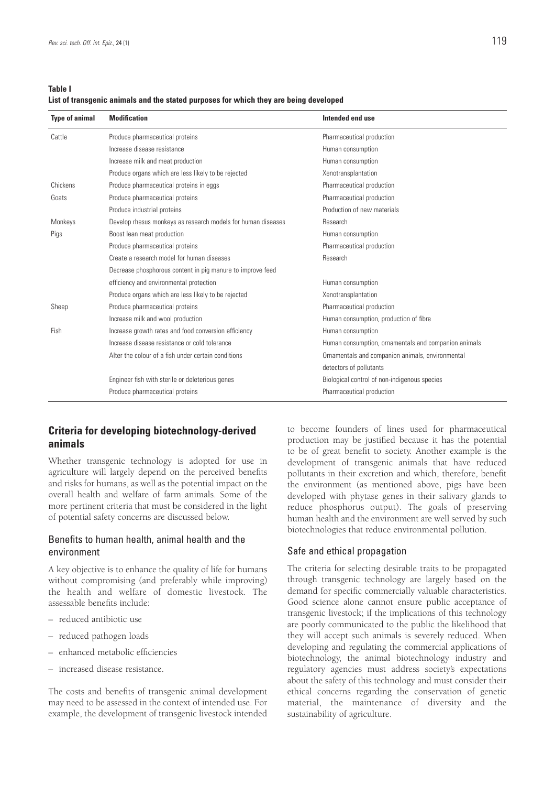#### **List of transgenic animals and the stated purposes for which they are being developed**

| <b>Type of animal</b> | <b>Modification</b>                                          | Intended end use                                     |
|-----------------------|--------------------------------------------------------------|------------------------------------------------------|
| Cattle                | Produce pharmaceutical proteins                              | Pharmaceutical production                            |
|                       | Increase disease resistance                                  | Human consumption                                    |
|                       | Increase milk and meat production                            | Human consumption                                    |
|                       | Produce organs which are less likely to be rejected          | Xenotransplantation                                  |
| Chickens              | Produce pharmaceutical proteins in eggs                      | Pharmaceutical production                            |
| Goats                 | Produce pharmaceutical proteins                              | Pharmaceutical production                            |
|                       | Produce industrial proteins                                  | Production of new materials                          |
| Monkeys               | Develop rhesus monkeys as research models for human diseases | Research                                             |
| Pigs                  | Boost lean meat production                                   | Human consumption                                    |
|                       | Produce pharmaceutical proteins                              | Pharmaceutical production                            |
|                       | Create a research model for human diseases                   | Research                                             |
|                       | Decrease phosphorous content in pig manure to improve feed   |                                                      |
|                       | efficiency and environmental protection                      | Human consumption                                    |
|                       | Produce organs which are less likely to be rejected          | Xenotransplantation                                  |
| Sheep                 | Produce pharmaceutical proteins                              | Pharmaceutical production                            |
|                       | Increase milk and wool production                            | Human consumption, production of fibre               |
| Fish                  | Increase growth rates and food conversion efficiency         | Human consumption                                    |
|                       | Increase disease resistance or cold tolerance                | Human consumption, ornamentals and companion animals |
|                       | Alter the colour of a fish under certain conditions          | Ornamentals and companion animals, environmental     |
|                       |                                                              | detectors of pollutants                              |
|                       | Engineer fish with sterile or deleterious genes              | Biological control of non-indigenous species         |
|                       | Produce pharmaceutical proteins                              | Pharmaceutical production                            |

# **Criteria for developing biotechnology-derived animals**

Whether transgenic technology is adopted for use in agriculture will largely depend on the perceived benefits and risks for humans, as well as the potential impact on the overall health and welfare of farm animals. Some of the more pertinent criteria that must be considered in the light of potential safety concerns are discussed below.

### Benefits to human health, animal health and the environment

A key objective is to enhance the quality of life for humans without compromising (and preferably while improving) the health and welfare of domestic livestock. The assessable benefits include:

- reduced antibiotic use
- reduced pathogen loads
- enhanced metabolic efficiencies
- increased disease resistance.

The costs and benefits of transgenic animal development may need to be assessed in the context of intended use. For example, the development of transgenic livestock intended to become founders of lines used for pharmaceutical production may be justified because it has the potential to be of great benefit to society. Another example is the development of transgenic animals that have reduced pollutants in their excretion and which, therefore, benefit the environment (as mentioned above, pigs have been developed with phytase genes in their salivary glands to reduce phosphorus output). The goals of preserving human health and the environment are well served by such biotechnologies that reduce environmental pollution.

### Safe and ethical propagation

The criteria for selecting desirable traits to be propagated through transgenic technology are largely based on the demand for specific commercially valuable characteristics. Good science alone cannot ensure public acceptance of transgenic livestock; if the implications of this technology are poorly communicated to the public the likelihood that they will accept such animals is severely reduced. When developing and regulating the commercial applications of biotechnology, the animal biotechnology industry and regulatory agencies must address society's expectations about the safety of this technology and must consider their ethical concerns regarding the conservation of genetic material, the maintenance of diversity and the sustainability of agriculture.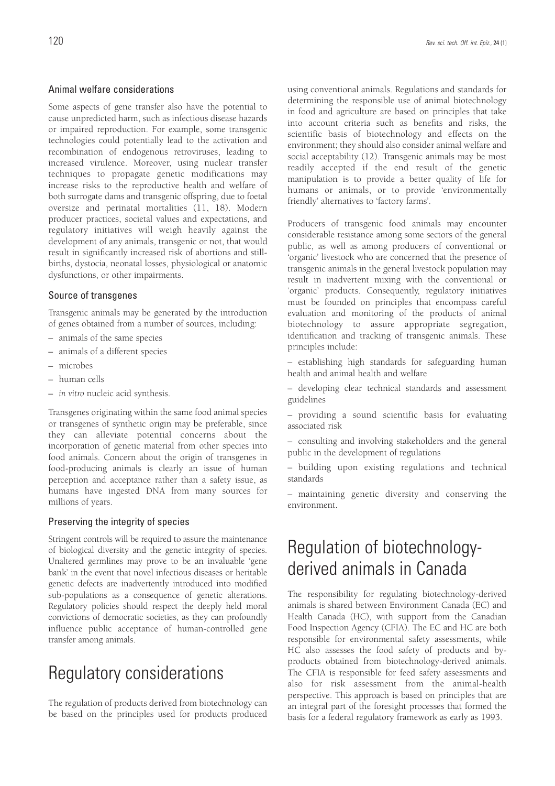### Animal welfare considerations

Some aspects of gene transfer also have the potential to cause unpredicted harm, such as infectious disease hazards or impaired reproduction. For example, some transgenic technologies could potentially lead to the activation and recombination of endogenous retroviruses, leading to increased virulence. Moreover, using nuclear transfer techniques to propagate genetic modifications may increase risks to the reproductive health and welfare of both surrogate dams and transgenic offspring, due to foetal oversize and perinatal mortalities (11, 18). Modern producer practices, societal values and expectations, and regulatory initiatives will weigh heavily against the development of any animals, transgenic or not, that would result in significantly increased risk of abortions and stillbirths, dystocia, neonatal losses, physiological or anatomic dysfunctions, or other impairments.

### Source of transgenes

Transgenic animals may be generated by the introduction of genes obtained from a number of sources, including:

- animals of the same species
- animals of a different species
- microbes
- human cells
- *in vitro* nucleic acid synthesis.

Transgenes originating within the same food animal species or transgenes of synthetic origin may be preferable, since they can alleviate potential concerns about the incorporation of genetic material from other species into food animals. Concern about the origin of transgenes in food-producing animals is clearly an issue of human perception and acceptance rather than a safety issue, as humans have ingested DNA from many sources for millions of years.

### Preserving the integrity of species

Stringent controls will be required to assure the maintenance of biological diversity and the genetic integrity of species. Unaltered germlines may prove to be an invaluable 'gene bank' in the event that novel infectious diseases or heritable genetic defects are inadvertently introduced into modified sub-populations as a consequence of genetic alterations. Regulatory policies should respect the deeply held moral convictions of democratic societies, as they can profoundly influence public acceptance of human-controlled gene transfer among animals.

# Regulatory considerations

The regulation of products derived from biotechnology can be based on the principles used for products produced

using conventional animals. Regulations and standards for determining the responsible use of animal biotechnology in food and agriculture are based on principles that take into account criteria such as benefits and risks, the scientific basis of biotechnology and effects on the environment; they should also consider animal welfare and social acceptability (12). Transgenic animals may be most readily accepted if the end result of the genetic manipulation is to provide a better quality of life for humans or animals, or to provide 'environmentally friendly' alternatives to 'factory farms'.

Producers of transgenic food animals may encounter considerable resistance among some sectors of the general public, as well as among producers of conventional or 'organic' livestock who are concerned that the presence of transgenic animals in the general livestock population may result in inadvertent mixing with the conventional or 'organic' products. Consequently, regulatory initiatives must be founded on principles that encompass careful evaluation and monitoring of the products of animal biotechnology to assure appropriate segregation, identification and tracking of transgenic animals. These principles include:

– establishing high standards for safeguarding human health and animal health and welfare

– developing clear technical standards and assessment guidelines

– providing a sound scientific basis for evaluating associated risk

– consulting and involving stakeholders and the general public in the development of regulations

– building upon existing regulations and technical standards

– maintaining genetic diversity and conserving the environment.

# Regulation of biotechnologyderived animals in Canada

The responsibility for regulating biotechnology-derived animals is shared between Environment Canada (EC) and Health Canada (HC), with support from the Canadian Food Inspection Agency (CFIA). The EC and HC are both responsible for environmental safety assessments, while HC also assesses the food safety of products and byproducts obtained from biotechnology-derived animals. The CFIA is responsible for feed safety assessments and also for risk assessment from the animal-health perspective. This approach is based on principles that are an integral part of the foresight processes that formed the basis for a federal regulatory framework as early as 1993.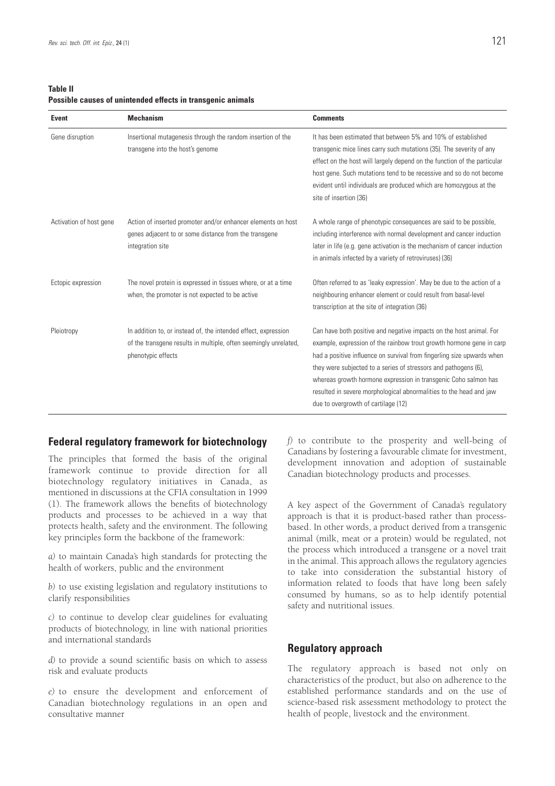**Table II Possible causes of unintended effects in transgenic animals**

| Event                   | <b>Mechanism</b>                                                                                                                                         | <b>Comments</b>                                                                                                                                                                                                                                                                                                                                                                                                                                                          |
|-------------------------|----------------------------------------------------------------------------------------------------------------------------------------------------------|--------------------------------------------------------------------------------------------------------------------------------------------------------------------------------------------------------------------------------------------------------------------------------------------------------------------------------------------------------------------------------------------------------------------------------------------------------------------------|
| Gene disruption         | Insertional mutagenesis through the random insertion of the<br>transgene into the host's genome                                                          | It has been estimated that between 5% and 10% of established<br>transgenic mice lines carry such mutations (35). The severity of any<br>effect on the host will largely depend on the function of the particular<br>host gene. Such mutations tend to be recessive and so do not become<br>evident until individuals are produced which are homozygous at the<br>site of insertion (36)                                                                                  |
| Activation of host gene | Action of inserted promoter and/or enhancer elements on host<br>genes adjacent to or some distance from the transgene<br>integration site                | A whole range of phenotypic consequences are said to be possible,<br>including interference with normal development and cancer induction<br>later in life (e.g. gene activation is the mechanism of cancer induction<br>in animals infected by a variety of retroviruses) (36)                                                                                                                                                                                           |
| Ectopic expression      | The novel protein is expressed in tissues where, or at a time<br>when, the promoter is not expected to be active                                         | Often referred to as 'leaky expression'. May be due to the action of a<br>neighbouring enhancer element or could result from basal-level<br>transcription at the site of integration (36)                                                                                                                                                                                                                                                                                |
| Pleiotropy              | In addition to, or instead of, the intended effect, expression<br>of the transgene results in multiple, often seemingly unrelated,<br>phenotypic effects | Can have both positive and negative impacts on the host animal. For<br>example, expression of the rainbow trout growth hormone gene in carp<br>had a positive influence on survival from fingerling size upwards when<br>they were subjected to a series of stressors and pathogens (6),<br>whereas growth hormone expression in transgenic Coho salmon has<br>resulted in severe morphological abnormalities to the head and jaw<br>due to overgrowth of cartilage (12) |

### **Federal regulatory framework for biotechnology**

The principles that formed the basis of the original framework continue to provide direction for all biotechnology regulatory initiatives in Canada, as mentioned in discussions at the CFIA consultation in 1999 (1). The framework allows the benefits of biotechnology products and processes to be achieved in a way that protects health, safety and the environment. The following key principles form the backbone of the framework:

*a)* to maintain Canada's high standards for protecting the health of workers, public and the environment

*b)* to use existing legislation and regulatory institutions to clarify responsibilities

*c)* to continue to develop clear guidelines for evaluating products of biotechnology, in line with national priorities and international standards

*d)* to provide a sound scientific basis on which to assess risk and evaluate products

*e)* to ensure the development and enforcement of Canadian biotechnology regulations in an open and consultative manner

*f)* to contribute to the prosperity and well-being of Canadians by fostering a favourable climate for investment, development innovation and adoption of sustainable Canadian biotechnology products and processes.

A key aspect of the Government of Canada's regulatory approach is that it is product-based rather than processbased. In other words, a product derived from a transgenic animal (milk, meat or a protein) would be regulated, not the process which introduced a transgene or a novel trait in the animal. This approach allows the regulatory agencies to take into consideration the substantial history of information related to foods that have long been safely consumed by humans, so as to help identify potential safety and nutritional issues.

### **Regulatory approach**

The regulatory approach is based not only on characteristics of the product, but also on adherence to the established performance standards and on the use of science-based risk assessment methodology to protect the health of people, livestock and the environment.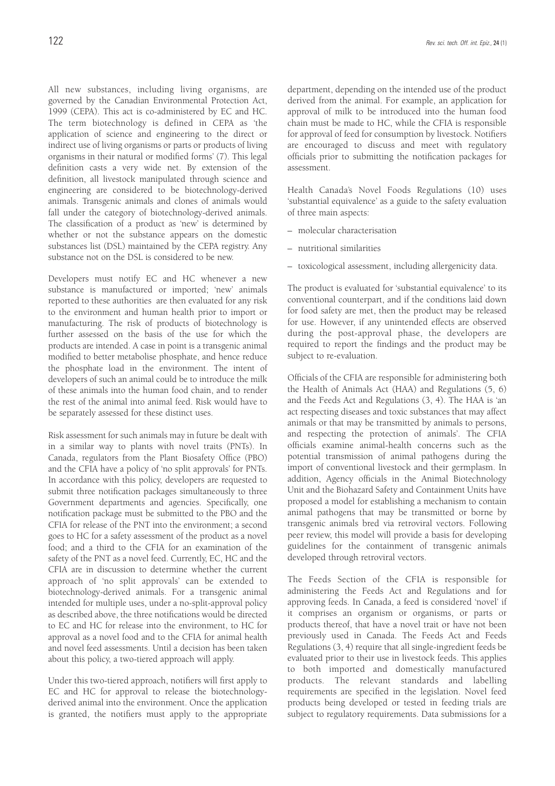All new substances, including living organisms, are governed by the Canadian Environmental Protection Act, 1999 (CEPA). This act is co-administered by EC and HC. The term biotechnology is defined in CEPA as 'the application of science and engineering to the direct or indirect use of living organisms or parts or products of living organisms in their natural or modified forms' (7). This legal definition casts a very wide net. By extension of the definition, all livestock manipulated through science and engineering are considered to be biotechnology-derived animals. Transgenic animals and clones of animals would fall under the category of biotechnology-derived animals. The classification of a product as 'new' is determined by whether or not the substance appears on the domestic substances list (DSL) maintained by the CEPA registry. Any substance not on the DSL is considered to be new.

Developers must notify EC and HC whenever a new substance is manufactured or imported; 'new' animals reported to these authorities are then evaluated for any risk to the environment and human health prior to import or manufacturing. The risk of products of biotechnology is further assessed on the basis of the use for which the products are intended. A case in point is a transgenic animal modified to better metabolise phosphate, and hence reduce the phosphate load in the environment. The intent of developers of such an animal could be to introduce the milk of these animals into the human food chain, and to render the rest of the animal into animal feed. Risk would have to be separately assessed for these distinct uses.

Risk assessment for such animals may in future be dealt with in a similar way to plants with novel traits (PNTs). In Canada, regulators from the Plant Biosafety Office (PBO) and the CFIA have a policy of 'no split approvals' for PNTs. In accordance with this policy, developers are requested to submit three notification packages simultaneously to three Government departments and agencies. Specifically, one notification package must be submitted to the PBO and the CFIA for release of the PNT into the environment; a second goes to HC for a safety assessment of the product as a novel food; and a third to the CFIA for an examination of the safety of the PNT as a novel feed. Currently, EC, HC and the CFIA are in discussion to determine whether the current approach of 'no split approvals' can be extended to biotechnology-derived animals. For a transgenic animal intended for multiple uses, under a no-split-approval policy as described above, the three notifications would be directed to EC and HC for release into the environment, to HC for approval as a novel food and to the CFIA for animal health and novel feed assessments. Until a decision has been taken about this policy, a two-tiered approach will apply.

Under this two-tiered approach, notifiers will first apply to EC and HC for approval to release the biotechnologyderived animal into the environment. Once the application is granted, the notifiers must apply to the appropriate department, depending on the intended use of the product derived from the animal. For example, an application for approval of milk to be introduced into the human food chain must be made to HC, while the CFIA is responsible for approval of feed for consumption by livestock. Notifiers are encouraged to discuss and meet with regulatory officials prior to submitting the notification packages for assessment.

Health Canada's Novel Foods Regulations (10) uses 'substantial equivalence' as a guide to the safety evaluation of three main aspects:

- molecular characterisation
- nutritional similarities
- toxicological assessment, including allergenicity data.

The product is evaluated for 'substantial equivalence' to its conventional counterpart, and if the conditions laid down for food safety are met, then the product may be released for use. However, if any unintended effects are observed during the post-approval phase, the developers are required to report the findings and the product may be subject to re-evaluation.

Officials of the CFIA are responsible for administering both the Health of Animals Act (HAA) and Regulations (5, 6) and the Feeds Act and Regulations (3, 4). The HAA is 'an act respecting diseases and toxic substances that may affect animals or that may be transmitted by animals to persons, and respecting the protection of animals'. The CFIA officials examine animal-health concerns such as the potential transmission of animal pathogens during the import of conventional livestock and their germplasm. In addition, Agency officials in the Animal Biotechnology Unit and the Biohazard Safety and Containment Units have proposed a model for establishing a mechanism to contain animal pathogens that may be transmitted or borne by transgenic animals bred via retroviral vectors. Following peer review, this model will provide a basis for developing guidelines for the containment of transgenic animals developed through retroviral vectors.

The Feeds Section of the CFIA is responsible for administering the Feeds Act and Regulations and for approving feeds. In Canada, a feed is considered 'novel' if it comprises an organism or organisms, or parts or products thereof, that have a novel trait or have not been previously used in Canada. The Feeds Act and Feeds Regulations (3, 4) require that all single-ingredient feeds be evaluated prior to their use in livestock feeds. This applies to both imported and domestically manufactured products. The relevant standards and labelling requirements are specified in the legislation. Novel feed products being developed or tested in feeding trials are subject to regulatory requirements. Data submissions for a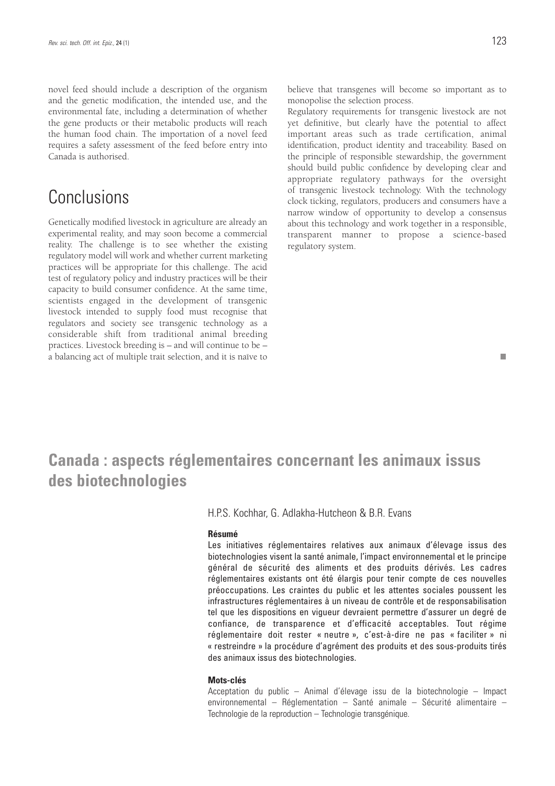novel feed should include a description of the organism and the genetic modification, the intended use, and the environmental fate, including a determination of whether the gene products or their metabolic products will reach the human food chain. The importation of a novel feed requires a safety assessment of the feed before entry into Canada is authorised.

# **Conclusions**

Genetically modified livestock in agriculture are already an experimental reality, and may soon become a commercial reality. The challenge is to see whether the existing regulatory model will work and whether current marketing practices will be appropriate for this challenge. The acid test of regulatory policy and industry practices will be their capacity to build consumer confidence. At the same time, scientists engaged in the development of transgenic livestock intended to supply food must recognise that regulators and society see transgenic technology as a considerable shift from traditional animal breeding practices. Livestock breeding is – and will continue to be – a balancing act of multiple trait selection, and it is naïve to

believe that transgenes will become so important as to monopolise the selection process.

Regulatory requirements for transgenic livestock are not yet definitive, but clearly have the potential to affect important areas such as trade certification, animal identification, product identity and traceability. Based on the principle of responsible stewardship, the government should build public confidence by developing clear and appropriate regulatory pathways for the oversight of transgenic livestock technology. With the technology clock ticking, regulators, producers and consumers have a narrow window of opportunity to develop a consensus about this technology and work together in a responsible, transparent manner to propose a science-based regulatory system.

#### m.

# **Canada : aspects réglementaires concernant les animaux issus des biotechnologies**

H.P.S. Kochhar, G. Adlakha-Hutcheon & B.R. Evans

#### **Résumé**

Les initiatives réglementaires relatives aux animaux d'élevage issus des biotechnologies visent la santé animale, l'impact environnemental et le principe général de sécurité des aliments et des produits dérivés. Les cadres réglementaires existants ont été élargis pour tenir compte de ces nouvelles préoccupations. Les craintes du public et les attentes sociales poussent les infrastructures réglementaires à un niveau de contrôle et de responsabilisation tel que les dispositions en vigueur devraient permettre d'assurer un degré de confiance, de transparence et d'efficacité acceptables. Tout régime réglementaire doit rester « neutre », c'est-à-dire ne pas « faciliter » ni « restreindre » la procédure d'agrément des produits et des sous-produits tirés des animaux issus des biotechnologies.

### **Mots-clés**

Acceptation du public – Animal d'élevage issu de la biotechnologie – Impact environnemental – Réglementation – Santé animale – Sécurité alimentaire – Technologie de la reproduction – Technologie transgénique.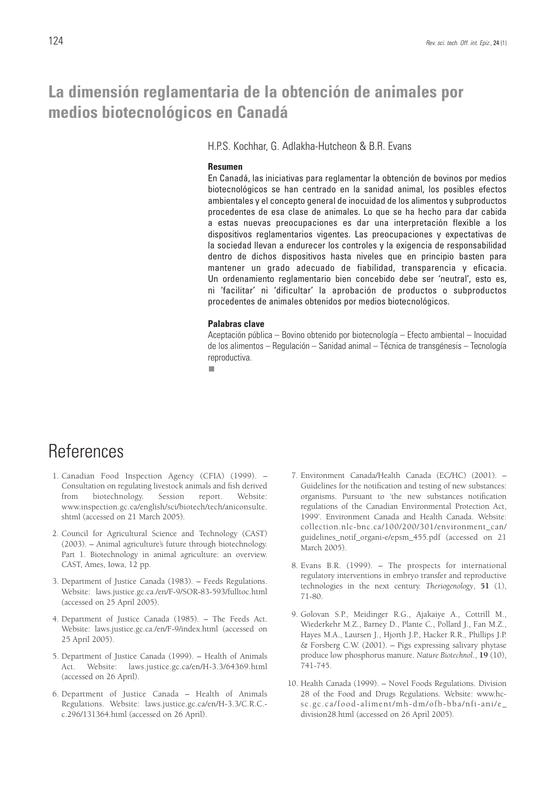# **La dimensión reglamentaria de la obtención de animales por medios biotecnológicos en Canadá**

H.P.S. Kochhar, G. Adlakha-Hutcheon & B.R. Evans

#### **Resumen**

En Canadá, las iniciativas para reglamentar la obtención de bovinos por medios biotecnológicos se han centrado en la sanidad animal, los posibles efectos ambientales y el concepto general de inocuidad de los alimentos y subproductos procedentes de esa clase de animales. Lo que se ha hecho para dar cabida a estas nuevas preocupaciones es dar una interpretación flexible a los dispositivos reglamentarios vigentes. Las preocupaciones y expectativas de la sociedad llevan a endurecer los controles y la exigencia de responsabilidad dentro de dichos dispositivos hasta niveles que en principio basten para mantener un grado adecuado de fiabilidad, transparencia y eficacia. Un ordenamiento reglamentario bien concebido debe ser 'neutral', esto es, ni 'facilitar' ni 'dificultar' la aprobación de productos o subproductos procedentes de animales obtenidos por medios biotecnológicos.

#### **Palabras clave**

Aceptación pública – Bovino obtenido por biotecnología – Efecto ambiental – Inocuidad de los alimentos – Regulación – Sanidad animal – Técnica de transgénesis – Tecnología reproductiva.

 $\mathcal{C}^{\mathcal{A}}$ 

# **References**

- 1. Canadian Food Inspection Agency (CFIA) (1999). Consultation on regulating livestock animals and fish derived from biotechnology. Session report. Website: www.inspection.gc.ca/english/sci/biotech/tech/aniconsulte. shtml (accessed on 21 March 2005).
- 2. Council for Agricultural Science and Technology (CAST) (2003). – Animal agriculture's future through biotechnology. Part 1. Biotechnology in animal agriculture: an overview. CAST, Ames, Iowa, 12 pp.
- 3. Department of Justice Canada (1983). Feeds Regulations. Website: laws.justice.gc.ca./en/F-9/SOR-83-593/fulltoc.html (accessed on 25 April 2005).
- 4. Department of Justice Canada (1985). The Feeds Act. Website: laws.justice.gc.ca./en/F-9/index.html (accessed on 25 April 2005).
- 5. Department of Justice Canada (1999). Health of Animals Act. Website: laws.justice.gc.ca/en/H-3.3/64369.html (accessed on 26 April).
- 6. Department of Justice Canada Health of Animals Regulations. Website: laws.justice.gc.ca/en/H-3.3/C.R.C. c.296/131364.html (accessed on 26 April).
- 7. Environment Canada/Health Canada (EC/HC) (2001). Guidelines for the notification and testing of new substances: organisms. Pursuant to 'the new substances notification regulations of the Canadian Environmental Protection Act, 1999'. Environment Canada and Health Canada. Website: collection.nlc-bnc.ca/100/200/301/environment\_can/ guidelines notif organi-e/epsm 455.pdf (accessed on 21 March 2005).
- 8. Evans B.R. (1999). The prospects for international regulatory interventions in embryo transfer and reproductive technologies in the next century. *Theriogenology*, **51** (1), 71-80.
- 9. Golovan S.P., Meidinger R.G., Ajakaiye A., Cottrill M., Wiederkehr M.Z., Barney D., Plante C., Pollard J., Fan M.Z., Hayes M.A., Laursen J., Hjorth J.P., Hacker R.R., Phillips J.P. & Forsberg C.W. (2001). – Pigs expressing salivary phytase produce low phosphorus manure. *Nature Biotechnol*., **19** (10), 741-745.
- 10. Health Canada (1999). Novel Foods Regulations. Division 28 of the Food and Drugs Regulations. Website: www.hcsc.gc.ca/food-aliment/mh-dm/ofb-bba/nfi-ani/e\_ division28.html (accessed on 26 April 2005).